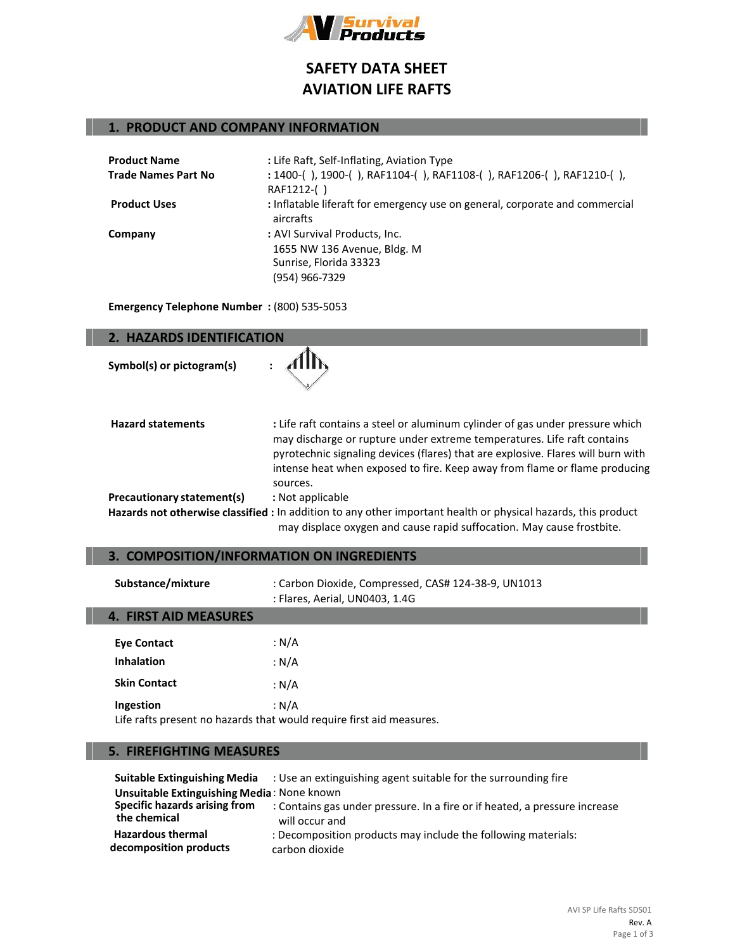

# **SAFETY DATA SHEET AVIATION LIFE RAFTS**

# **1. PRODUCT AND COMPANY INFORMATION**

| <b>Product Name</b>        | : Life Raft, Self-Inflating, Aviation Type                                                |
|----------------------------|-------------------------------------------------------------------------------------------|
| <b>Trade Names Part No</b> | : 1400-(), 1900-(), RAF1104-(), RAF1108-(), RAF1206-(), RAF1210-(),                       |
|                            | RAF1212-()                                                                                |
| <b>Product Uses</b>        | : Inflatable liferaft for emergency use on general, corporate and commercial<br>aircrafts |
| Company                    | : AVI Survival Products, Inc.                                                             |
|                            | 1655 NW 136 Avenue, Bldg. M                                                               |
|                            | Sunrise, Florida 33323                                                                    |
|                            | (954) 966-7329                                                                            |

**Emergency Telephone Number :** (800) 535-5053

| 2. HAZARDS IDENTIFICATION  |                                                                                                                                                                                                                                                                                                                                        |  |
|----------------------------|----------------------------------------------------------------------------------------------------------------------------------------------------------------------------------------------------------------------------------------------------------------------------------------------------------------------------------------|--|
| Symbol(s) or pictogram(s)  |                                                                                                                                                                                                                                                                                                                                        |  |
| <b>Hazard statements</b>   | : Life raft contains a steel or aluminum cylinder of gas under pressure which<br>may discharge or rupture under extreme temperatures. Life raft contains<br>pyrotechnic signaling devices (flares) that are explosive. Flares will burn with<br>intense heat when exposed to fire. Keep away from flame or flame producing<br>sources. |  |
| Precautionary statement(s) | : Not applicable                                                                                                                                                                                                                                                                                                                       |  |
|                            | Hazards not otherwise classified : In addition to any other important health or physical hazards, this product<br>may displace oxygen and cause rapid suffocation. May cause frostbite.                                                                                                                                                |  |

# **3. COMPOSITION/INFORMATION ON INGREDIENTS**

| Substance/mixture                       | : Carbon Dioxide, Compressed, CAS# 124-38-9, UN1013<br>: Flares, Aerial, UN0403, 1.4G |
|-----------------------------------------|---------------------------------------------------------------------------------------|
| <b>4. FIRST AID MEASURES</b>            |                                                                                       |
| <b>Eye Contact</b><br><b>Inhalation</b> | : $N/A$<br>: N/A                                                                      |
| <b>Skin Contact</b>                     | : N/A                                                                                 |
| Ingestion                               | : N/A                                                                                 |

Life rafts present no hazards that would require first aid measures.

## **5. FIREFIGHTING MEASURES**

|                                            | <b>Suitable Extinguishing Media</b> : Use an extinguishing agent suitable for the surrounding fire |  |
|--------------------------------------------|----------------------------------------------------------------------------------------------------|--|
| Unsuitable Extinguishing Media: None known |                                                                                                    |  |
| Specific hazards arising from              | : Contains gas under pressure. In a fire or if heated, a pressure increase                         |  |
| the chemical                               | will occur and                                                                                     |  |
| <b>Hazardous thermal</b>                   | : Decomposition products may include the following materials:                                      |  |
| decomposition products                     | carbon dioxide                                                                                     |  |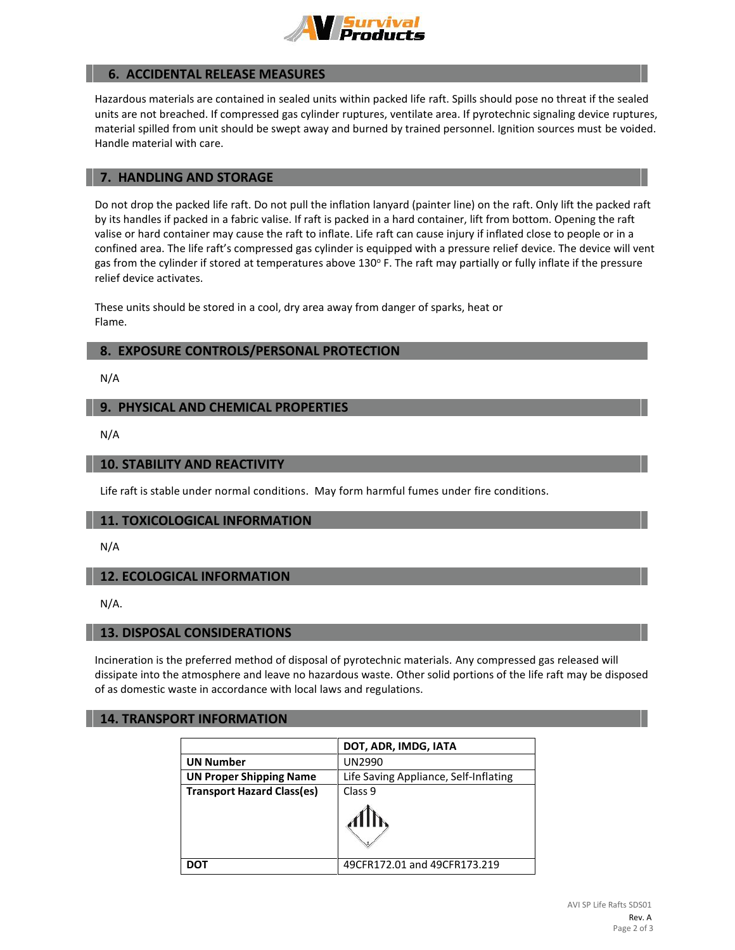

## **6. ACCIDENTAL RELEASE MEASURES**

Hazardous materials are contained in sealed units within packed life raft. Spills should pose no threat if the sealed units are not breached. If compressed gas cylinder ruptures, ventilate area. If pyrotechnic signaling device ruptures, material spilled from unit should be swept away and burned by trained personnel. Ignition sources must be voided. Handle material with care.

#### **7. HANDLING AND STORAGE**

Do not drop the packed life raft. Do not pull the inflation lanyard (painter line) on the raft. Only lift the packed raft by its handles if packed in a fabric valise. If raft is packed in a hard container, lift from bottom. Opening the raft valise or hard container may cause the raft to inflate. Life raft can cause injury if inflated close to people or in a confined area. The life raft's compressed gas cylinder is equipped with a pressure relief device. The device will vent gas from the cylinder if stored at temperatures above 130° F. The raft may partially or fully inflate if the pressure relief device activates.

These units should be stored in a cool, dry area away from danger of sparks, heat or Flame.

## **8. EXPOSURE CONTROLS/PERSONAL PROTECTION**

N/A

# **9. PHYSICAL AND CHEMICAL PROPERTIES**

N/A

# **10. STABILITY AND REACTIVITY**

Life raft is stable under normal conditions. May form harmful fumes under fire conditions.

## **11. TOXICOLOGICAL INFORMATION**

N/A

# **12. ECOLOGICAL INFORMATION**

N/A.

#### **13. DISPOSAL CONSIDERATIONS**

Incineration is the preferred method of disposal of pyrotechnic materials. Any compressed gas released will dissipate into the atmosphere and leave no hazardous waste. Other solid portions of the life raft may be disposed of as domestic waste in accordance with local laws and regulations.

#### **14. TRANSPORT INFORMATION**

|                                   | DOT, ADR, IMDG, IATA                  |
|-----------------------------------|---------------------------------------|
| <b>UN Number</b>                  | UN2990                                |
| <b>UN Proper Shipping Name</b>    | Life Saving Appliance, Self-Inflating |
| <b>Transport Hazard Class(es)</b> | Class <sub>9</sub>                    |
|                                   |                                       |
| DOT                               | 49CFR172.01 and 49CFR173.219          |